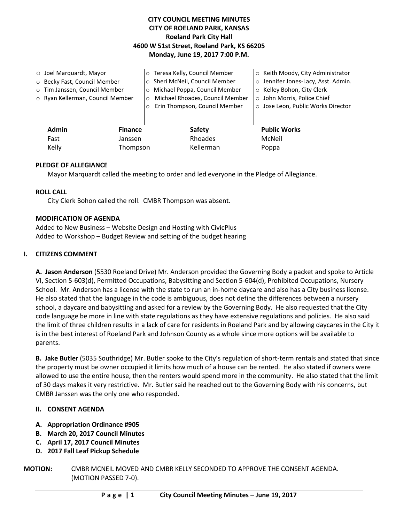# **CITY COUNCIL MEETING MINUTES CITY OF ROELAND PARK, KANSAS Roeland Park City Hall 4600 W 51st Street, Roeland Park, KS 66205 Monday, June 19, 2017 7:00 P.M.**

|                              | $\circ$ Joel Marquardt, Mayor    |         | o Teresa Kelly, Council Member             |  | o Keith Moody, City Administrator   |
|------------------------------|----------------------------------|---------|--------------------------------------------|--|-------------------------------------|
| O Becky Fast, Council Member |                                  |         | o Sheri McNeil, Council Member             |  | o Jennifer Jones-Lacy, Asst. Admin. |
|                              | o Tim Janssen, Council Member    |         | Michael Poppa, Council Member<br>$\circ$   |  | ○ Kelley Bohon, City Clerk          |
|                              | o Ryan Kellerman, Council Member |         | Michael Rhoades, Council Member<br>$\circ$ |  | o John Morris, Police Chief         |
|                              |                                  | $\circ$ | Erin Thompson, Council Member              |  | o Jose Leon, Public Works Director  |
|                              |                                  |         |                                            |  |                                     |
|                              | Admin<br><b>Finance</b>          |         | <b>Safety</b>                              |  | <b>Public Works</b>                 |
|                              | Fast<br>Janssen                  |         | Rhoades                                    |  | McNeil                              |
| Kelly<br>Thompson            |                                  |         | Kellerman                                  |  | Poppa                               |
|                              |                                  |         |                                            |  |                                     |

### **PLEDGE OF ALLEGIANCE**

Mayor Marquardt called the meeting to order and led everyone in the Pledge of Allegiance.

### **ROLL CALL**

City Clerk Bohon called the roll. CMBR Thompson was absent.

### **MODIFICATION OF AGENDA**

Added to New Business – Website Design and Hosting with CivicPlus Added to Workshop – Budget Review and setting of the budget hearing

### **I. CITIZENS COMMENT**

**A. Jason Anderson** (5530 Roeland Drive) Mr. Anderson provided the Governing Body a packet and spoke to Article VI, Section 5-603(d), Permitted Occupations, Babysitting and Section 5-604(d), Prohibited Occupations, Nursery School. Mr. Anderson has a license with the state to run an in-home daycare and also has a City business license. He also stated that the language in the code is ambiguous, does not define the differences between a nursery school, a daycare and babysitting and asked for a review by the Governing Body. He also requested that the City code language be more in line with state regulations as they have extensive regulations and policies. He also said the limit of three children results in a lack of care for residents in Roeland Park and by allowing daycares in the City it is in the best interest of Roeland Park and Johnson County as a whole since more options will be available to parents.

**B. Jake Butler** (5035 Southridge) Mr. Butler spoke to the City's regulation of short-term rentals and stated that since the property must be owner occupied it limits how much of a house can be rented. He also stated if owners were allowed to use the entire house, then the renters would spend more in the community. He also stated that the limit of 30 days makes it very restrictive. Mr. Butler said he reached out to the Governing Body with his concerns, but CMBR Janssen was the only one who responded.

### **II. CONSENT AGENDA**

- **A. Appropriation Ordinance #905**
- **B. March 20, 2017 Council Minutes**
- **C. April 17, 2017 Council Minutes**
- **D. 2017 Fall Leaf Pickup Schedule**
- **MOTION:** CMBR MCNEIL MOVED AND CMBR KELLY SECONDED TO APPROVE THE CONSENT AGENDA. (MOTION PASSED 7-0).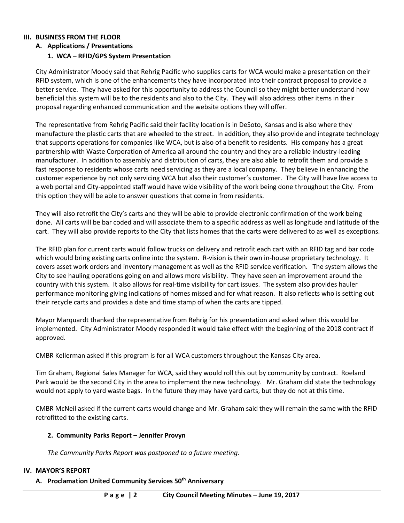### **III. BUSINESS FROM THE FLOOR**

### **A. Applications / Presentations**

### **1. WCA – RFID/GPS System Presentation**

City Administrator Moody said that Rehrig Pacific who supplies carts for WCA would make a presentation on their RFID system, which is one of the enhancements they have incorporated into their contract proposal to provide a better service. They have asked for this opportunity to address the Council so they might better understand how beneficial this system will be to the residents and also to the City. They will also address other items in their proposal regarding enhanced communication and the website options they will offer.

The representative from Rehrig Pacific said their facility location is in DeSoto, Kansas and is also where they manufacture the plastic carts that are wheeled to the street. In addition, they also provide and integrate technology that supports operations for companies like WCA, but is also of a benefit to residents. His company has a great partnership with Waste Corporation of America all around the country and they are a reliable industry-leading manufacturer. In addition to assembly and distribution of carts, they are also able to retrofit them and provide a fast response to residents whose carts need servicing as they are a local company. They believe in enhancing the customer experience by not only servicing WCA but also their customer's customer. The City will have live access to a web portal and City-appointed staff would have wide visibility of the work being done throughout the City. From this option they will be able to answer questions that come in from residents.

They will also retrofit the City's carts and they will be able to provide electronic confirmation of the work being done. All carts will be bar coded and will associate them to a specific address as well as longitude and latitude of the cart. They will also provide reports to the City that lists homes that the carts were delivered to as well as exceptions.

The RFID plan for current carts would follow trucks on delivery and retrofit each cart with an RFID tag and bar code which would bring existing carts online into the system. R-vision is their own in-house proprietary technology. It covers asset work orders and inventory management as well as the RFID service verification. The system allows the City to see hauling operations going on and allows more visibility. They have seen an improvement around the country with this system. It also allows for real-time visibility for cart issues. The system also provides hauler performance monitoring giving indications of homes missed and for what reason. It also reflects who is setting out their recycle carts and provides a date and time stamp of when the carts are tipped.

Mayor Marquardt thanked the representative from Rehrig for his presentation and asked when this would be implemented. City Administrator Moody responded it would take effect with the beginning of the 2018 contract if approved.

CMBR Kellerman asked if this program is for all WCA customers throughout the Kansas City area.

Tim Graham, Regional Sales Manager for WCA, said they would roll this out by community by contract. Roeland Park would be the second City in the area to implement the new technology. Mr. Graham did state the technology would not apply to yard waste bags. In the future they may have yard carts, but they do not at this time.

CMBR McNeil asked if the current carts would change and Mr. Graham said they will remain the same with the RFID retrofitted to the existing carts.

### **2. Community Parks Report – Jennifer Provyn**

*The Community Parks Report was postponed to a future meeting.* 

#### **IV. MAYOR'S REPORT**

### **A. Proclamation United Community Services 50th Anniversary**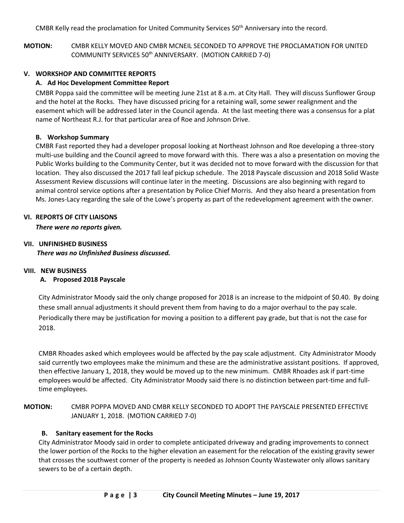CMBR Kelly read the proclamation for United Community Services 50<sup>th</sup> Anniversary into the record.

**MOTION:** CMBR KELLY MOVED AND CMBR MCNEIL SECONDED TO APPROVE THE PROCLAMATION FOR UNITED COMMUNITY SERVICES 50th ANNIVERSARY. (MOTION CARRIED 7-0)

# **V. WORKSHOP AND COMMITTEE REPORTS**

# **A. Ad Hoc Development Committee Report**

CMBR Poppa said the committee will be meeting June 21st at 8 a.m. at City Hall. They will discuss Sunflower Group and the hotel at the Rocks. They have discussed pricing for a retaining wall, some sewer realignment and the easement which will be addressed later in the Council agenda. At the last meeting there was a consensus for a plat name of Northeast R.J. for that particular area of Roe and Johnson Drive.

# **B. Workshop Summary**

CMBR Fast reported they had a developer proposal looking at Northeast Johnson and Roe developing a three-story multi-use building and the Council agreed to move forward with this. There was a also a presentation on moving the Public Works building to the Community Center, but it was decided not to move forward with the discussion for that location. They also discussed the 2017 fall leaf pickup schedule. The 2018 Payscale discussion and 2018 Solid Waste Assessment Review discussions will continue later in the meeting. Discussions are also beginning with regard to animal control service options after a presentation by Police Chief Morris. And they also heard a presentation from Ms. Jones-Lacy regarding the sale of the Lowe's property as part of the redevelopment agreement with the owner.

### **VI. REPORTS OF CITY LIAISONS**

*There were no reports given.* 

# **VII. UNFINISHED BUSINESS** *There was no Unfinished Business discussed.*

# **VIII. NEW BUSINESS**

# **A. Proposed 2018 Payscale**

City Administrator Moody said the only change proposed for 2018 is an increase to the midpoint of \$0.40. By doing these small annual adjustments it should prevent them from having to do a major overhaul to the pay scale. Periodically there may be justification for moving a position to a different pay grade, but that is not the case for 2018.

CMBR Rhoades asked which employees would be affected by the pay scale adjustment. City Administrator Moody said currently two employees make the minimum and these are the administrative assistant positions. If approved, then effective January 1, 2018, they would be moved up to the new minimum. CMBR Rhoades ask if part-time employees would be affected. City Administrator Moody said there is no distinction between part-time and fulltime employees.

# **MOTION:** CMBR POPPA MOVED AND CMBR KELLY SECONDED TO ADOPT THE PAYSCALE PRESENTED EFFECTIVE JANUARY 1, 2018. (MOTION CARRIED 7-0)

# **B. Sanitary easement for the Rocks**

City Administrator Moody said in order to complete anticipated driveway and grading improvements to connect the lower portion of the Rocks to the higher elevation an easement for the relocation of the existing gravity sewer that crosses the southwest corner of the property is needed as Johnson County Wastewater only allows sanitary sewers to be of a certain depth.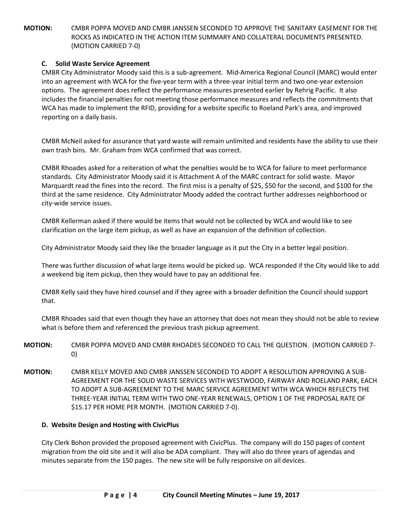**MOTION:** CMBR POPPA MOVED AND CMBR JANSSEN SECONDED TO APPROVE THE SANITARY EASEMENT FOR THE ROCKS AS INDICATED IN THE ACTION ITEM SUMMARY AND COLLATERAL DOCUMENTS PRESENTED. (MOTION CARRIED 7-0)

# **C. Solid Waste Service Agreement**

CMBR City Administrator Moody said this is a sub-agreement. Mid-America Regional Council (MARC) would enter into an agreement with WCA for the five-year term with a three-year initial term and two one-year extension options. The agreement does reflect the performance measures presented earlier by Rehrig Pacific. It also includes the financial penalties for not meeting those performance measures and reflects the commitments that WCA has made to implement the RFID, providing for a website specific to Roeland Park's area, and improved reporting on a daily basis.

CMBR McNeil asked for assurance that yard waste will remain unlimited and residents have the ability to use their own trash bins. Mr. Graham from WCA confirmed that was correct.

CMBR Rhoades asked for a reiteration of what the penalties would be to WCA for failure to meet performance standards. City Administrator Moody said it is Attachment A of the MARC contract for solid waste. Mayor Marquardt read the fines into the record. The first miss is a penalty of \$25, \$50 for the second, and \$100 for the third at the same residence. City Administrator Moody added the contract further addresses neighborhood or city-wide service issues.

CMBR Kellerman asked if there would be items that would not be collected by WCA and would like to see clarification on the large item pickup, as well as have an expansion of the definition of collection.

City Administrator Moody said they like the broader language as it put the City in a better legal position.

There was further discussion of what large items would be picked up. WCA responded if the City would like to add a weekend big item pickup, then they would have to pay an additional fee.

CMBR Kelly said they have hired counsel and if they agree with a broader definition the Council should support that.

CMBR Rhoades said that even though they have an attorney that does not mean they should not be able to review what is before them and referenced the previous trash pickup agreement.

- **MOTION:** CMBR POPPA MOVED AND CMBR RHOADES SECONDED TO CALL THE QUESTION. (MOTION CARRIED 7- 0)
- **MOTION:** CMBR KELLY MOVED AND CMBR JANSSEN SECONDED TO ADOPT A RESOLUTION APPROVING A SUB-AGREEMENT FOR THE SOLID WASTE SERVICES WITH WESTWOOD, FAIRWAY AND ROELAND PARK, EACH TO ADOPT A SUB-AGREEMENT TO THE MARC SERVICE AGREEMENT WITH WCA WHICH REFLECTS THE THREE-YEAR INITIAL TERM WITH TWO ONE-YEAR RENEWALS, OPTION 1 OF THE PROPOSAL RATE OF \$15.17 PER HOME PER MONTH. (MOTION CARRIED 7-0).

### **D. Website Design and Hosting with CivicPlus**

City Clerk Bohon provided the proposed agreement with CivicPlus. The company will do 150 pages of content migration from the old site and it will also be ADA compliant. They will also do three years of agendas and minutes separate from the 150 pages. The new site will be fully responsive on all devices.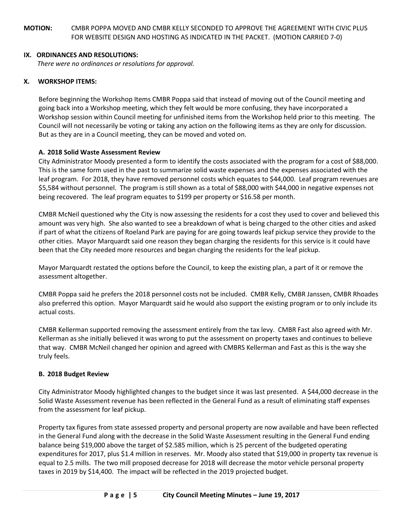**MOTION:** CMBR POPPA MOVED AND CMBR KELLY SECONDED TO APPROVE THE AGREEMENT WITH CIVIC PLUS FOR WEBSITE DESIGN AND HOSTING AS INDICATED IN THE PACKET. (MOTION CARRIED 7-0)

### **IX. ORDINANCES AND RESOLUTIONS:**

*There were no ordinances or resolutions for approval.*

# **X. WORKSHOP ITEMS:**

Before beginning the Workshop Items CMBR Poppa said that instead of moving out of the Council meeting and going back into a Workshop meeting, which they felt would be more confusing, they have incorporated a Workshop session within Council meeting for unfinished items from the Workshop held prior to this meeting. The Council will not necessarily be voting or taking any action on the following items as they are only for discussion. But as they are in a Council meeting, they can be moved and voted on.

### **A. 2018 Solid Waste Assessment Review**

City Administrator Moody presented a form to identify the costs associated with the program for a cost of \$88,000. This is the same form used in the past to summarize solid waste expenses and the expenses associated with the leaf program. For 2018, they have removed personnel costs which equates to \$44,000. Leaf program revenues are \$5,584 without personnel. The program is still shown as a total of \$88,000 with \$44,000 in negative expenses not being recovered. The leaf program equates to \$199 per property or \$16.58 per month.

CMBR McNeil questioned why the City is now assessing the residents for a cost they used to cover and believed this amount was very high. She also wanted to see a breakdown of what is being charged to the other cities and asked if part of what the citizens of Roeland Park are paying for are going towards leaf pickup service they provide to the other cities. Mayor Marquardt said one reason they began charging the residents for this service is it could have been that the City needed more resources and began charging the residents for the leaf pickup.

Mayor Marquardt restated the options before the Council, to keep the existing plan, a part of it or remove the assessment altogether.

CMBR Poppa said he prefers the 2018 personnel costs not be included. CMBR Kelly, CMBR Janssen, CMBR Rhoades also preferred this option. Mayor Marquardt said he would also support the existing program or to only include its actual costs.

CMBR Kellerman supported removing the assessment entirely from the tax levy. CMBR Fast also agreed with Mr. Kellerman as she initially believed it was wrong to put the assessment on property taxes and continues to believe that way. CMBR McNeil changed her opinion and agreed with CMBRS Kellerman and Fast as this is the way she truly feels.

# **B. 2018 Budget Review**

City Administrator Moody highlighted changes to the budget since it was last presented. A \$44,000 decrease in the Solid Waste Assessment revenue has been reflected in the General Fund as a result of eliminating staff expenses from the assessment for leaf pickup.

Property tax figures from state assessed property and personal property are now available and have been reflected in the General Fund along with the decrease in the Solid Waste Assessment resulting in the General Fund ending balance being \$19,000 above the target of \$2.585 million, which is 25 percent of the budgeted operating expenditures for 2017, plus \$1.4 million in reserves. Mr. Moody also stated that \$19,000 in property tax revenue is equal to 2.5 mills. The two mill proposed decrease for 2018 will decrease the motor vehicle personal property taxes in 2019 by \$14,400. The impact will be reflected in the 2019 projected budget.